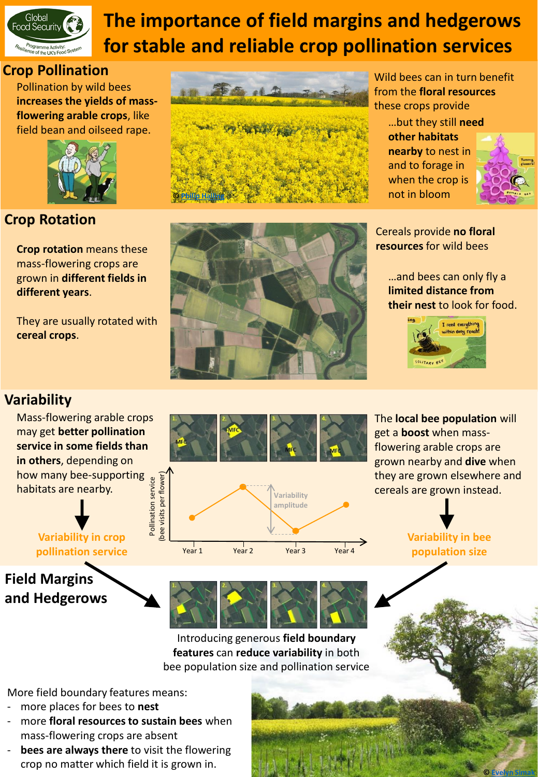

# **The importance of field margins and hedgerows for stable and reliable crop pollination services**

### **Crop Pollination**

Pollination by wild bees **increases the yields of massflowering arable crops**, like field bean and oilseed rape.



### **Crop Rotation**

**Crop rotation** means these **the contract of the crop of the crop resources** for wild bees mass-flowering crops are grown in **different fields in different years**.

They are usually rotated with **cereal crops**.



Wild bees can in turn benefit from the **floral resources**  these crops provide

…but they still **need other habitats nearby** to nest in and to forage in when the crop is not in bloom



Cereals provide **no floral** 

…and bees can only fly a **limited distance from their nest** to look for food.



## **Variability**

Mass-flowering arable crops may get **better pollination service in some fields than in others**, depending on how many bee-supporting<br>
habitats are nearby.<br>
<br>
<br>
Variability in crop habitats are nearby. Pollination service

**Variability in crop pollination service**

# **Field Margins and Hedgerows**



The **local bee population** will get a **boost** when massflowering arable crops are grown nearby and **dive** when they are grown elsewhere and cereals are grown instead.

> **Variability in bee population size**

> > **© [Evelyn Simak](https://www.geograph.org.uk/profile/14840)**



Year 1 Year 2 Year 3 Year 4

Introducing generous **field boundary features** can **reduce variability** in both bee population size and pollination service

More field boundary features means:

- more places for bees to nest
- more **floral resources to sustain bees** when mass-flowering crops are absent
- **bees are always there** to visit the flowering crop no matter which field it is grown in.